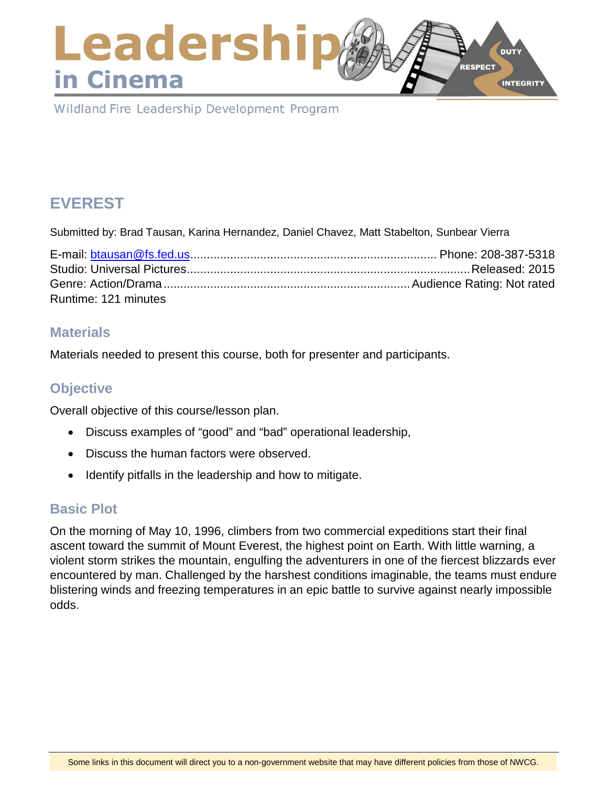#### Leadershi **DUTY** RESPECT in Cinema **INTEGRITY**

Wildland Fire Leadership Development Program

# **EVEREST**

Submitted by: Brad Tausan, Karina Hernandez, Daniel Chavez, Matt Stabelton, Sunbear Vierra

| Runtime: 121 minutes |  |
|----------------------|--|

## **Materials**

Materials needed to present this course, both for presenter and participants.

# **Objective**

Overall objective of this course/lesson plan.

- Discuss examples of "good" and "bad" operational leadership,
- Discuss the human factors were observed.
- Identify pitfalls in the leadership and how to mitigate.

## **Basic Plot**

On the morning of May 10, 1996, climbers from two commercial expeditions start their final ascent toward the summit of Mount Everest, the highest point on Earth. With little warning, a violent storm strikes the mountain, engulfing the adventurers in one of the fiercest blizzards ever encountered by man. Challenged by the harshest conditions imaginable, the teams must endure blistering winds and freezing temperatures in an epic battle to survive against nearly impossible odds.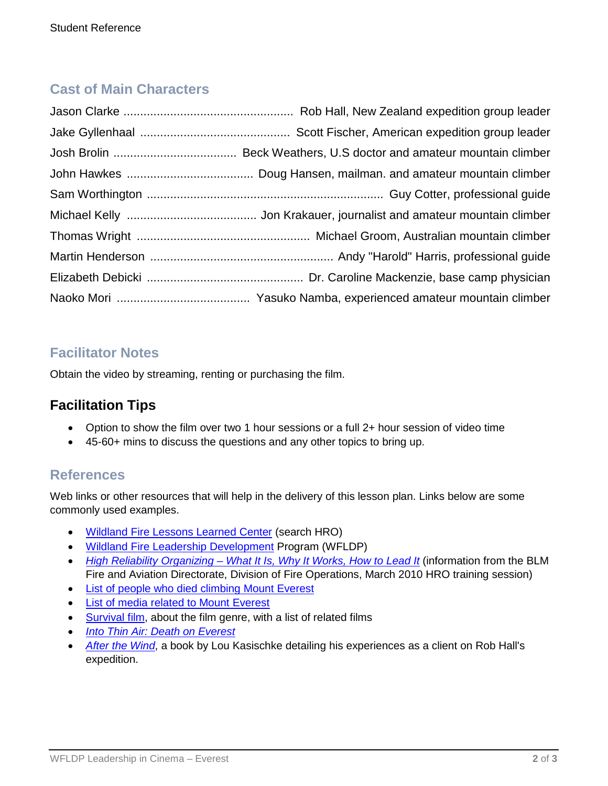# **Cast of Main Characters**

## **Facilitator Notes**

Obtain the video by streaming, renting or purchasing the film.

# **Facilitation Tips**

- Option to show the film over two 1 hour sessions or a full 2+ hour session of video time
- 45-60+ mins to discuss the questions and any other topics to bring up.

#### **References**

Web links or other resources that will help in the delivery of this lesson plan. Links below are some commonly used examples.

- [Wildland Fire Lessons Learned Center](https://www.wildfirelessons.net/home) (search HRO)
- [Wildland Fire Leadership Development](https://www.fireleadership.gov/) Program (WFLDP)
- *High Reliability Organizing – [What It Is, Why It Works, How to Lead It](https://www.nifc.gov/training/trainingHRO.html)* (information from the BLM Fire and Aviation Directorate, Division of Fire Operations, March 2010 HRO training session)
- [List of people who died climbing Mount Everest](https://en.wikipedia.org/wiki/List_of_people_who_died_climbing_Mount_Everest)
- [List of media related to Mount Everest](https://en.wikipedia.org/wiki/List_of_media_related_to_Mount_Everest)
- [Survival film,](https://en.wikipedia.org/wiki/Survival_film) about the film genre, with a list of related films
- *[Into Thin Air: Death on Everest](https://en.wikipedia.org/wiki/Into_Thin_Air:_Death_on_Everest)*
- *After [the Wind](https://en.wikipedia.org/wiki/After_the_Wind)*, a book by Lou Kasischke detailing his experiences as a client on Rob Hall's expedition.